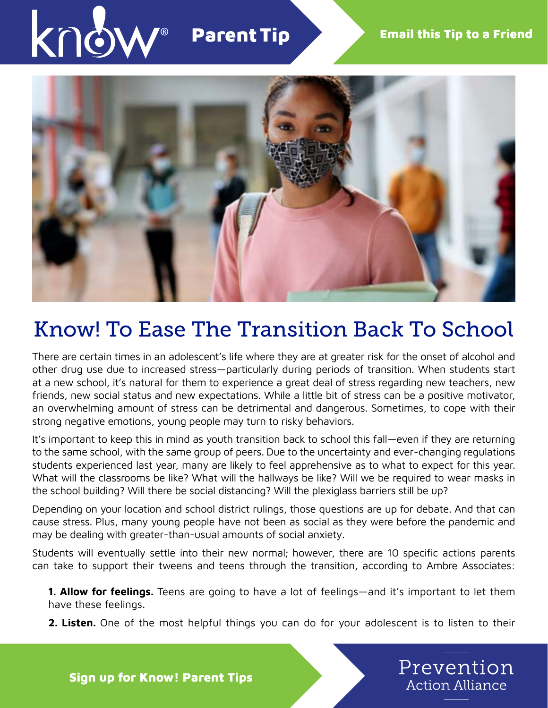

## Parent Tip



# Know! To Ease The Transition Back To School

There are certain times in an adolescent's life where they are at greater risk for the onset of alcohol and other drug use due to increased stress—particularly during periods of transition. When students start at a new school, it's natural for them to experience a great deal of stress regarding new teachers, new friends, new social status and new expectations. While a little bit of stress can be a positive motivator, an overwhelming amount of stress can be detrimental and dangerous. Sometimes, to cope with their strong negative emotions, young people may turn to risky behaviors.

It's important to keep this in mind as youth transition back to school this fall—even if they are returning to the same school, with the same group of peers. Due to the uncertainty and ever-changing regulations students experienced last year, many are likely to feel apprehensive as to what to expect for this year. What will the classrooms be like? What will the hallways be like? Will we be required to wear masks in the school building? Will there be social distancing? Will the plexiglass barriers still be up?

Depending on your location and school district rulings, those questions are up for debate. And that can cause stress. Plus, many young people have not been as social as they were before the pandemic and may be dealing with greater-than-usual amounts of social anxiety.

Students will eventually settle into their new normal; however, there are 10 specific actions parents can take to support their tweens and teens through the transition, according to Ambre Associates:

**1. Allow for feelings.** Teens are going to have a lot of feelings—and it's important to let them have these feelings.

2. Listen. One of the most helpful things you can do for your adolescent is to listen to their



Sign up for Know! Parent Tips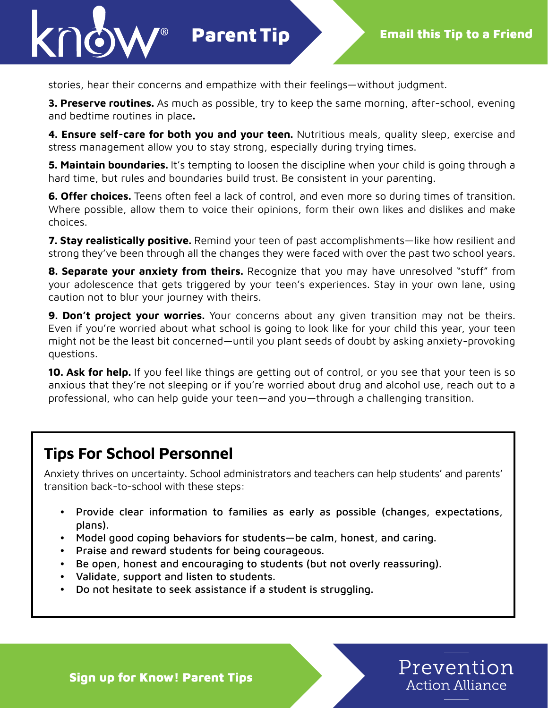

stories, hear their concerns and empathize with their feelings—without judgment.

Parent Tip

**3. Preserve routines.** As much as possible, try to keep the same morning, after-school, evening and bedtime routines in place.

4. Ensure self-care for both you and your teen. Nutritious meals, quality sleep, exercise and stress management allow you to stay strong, especially during trying times.

**5. Maintain boundaries.** It's tempting to loosen the discipline when your child is going through a hard time, but rules and boundaries build trust. Be consistent in your parenting.

**6. Offer choices.** Teens often feel a lack of control, and even more so during times of transition. Where possible, allow them to voice their opinions, form their own likes and dislikes and make choices.

7. Stay realistically positive. Remind your teen of past accomplishments—like how resilient and strong they've been through all the changes they were faced with over the past two school years.

8. Separate your anxiety from theirs. Recognize that you may have unresolved "stuff" from your adolescence that gets triggered by your teen's experiences. Stay in your own lane, using caution not to blur your journey with theirs.

**9. Don't project your worries.** Your concerns about any given transition may not be theirs. Even if you're worried about what school is going to look like for your child this year, your teen might not be the least bit concerned—until you plant seeds of doubt by asking anxiety-provoking questions.

**10. Ask for help.** If you feel like things are getting out of control, or you see that your teen is so anxious that they're not sleeping or if you're worried about drug and alcohol use, reach out to a professional, who can help guide your teen—and you—through a challenging transition.

### Tips For School Personnel

Anxiety thrives on uncertainty. School administrators and teachers can help students' and parents' transition back-to-school with these steps:

- Provide clear information to families as early as possible (changes, expectations, plans).
- Model good coping behaviors for students—be calm, honest, and caring.
- Praise and reward students for being courageous.
- Be open, honest and encouraging to students (but not overly reassuring).
- Validate, support and listen to students.
- Do not hesitate to seek assistance if a student is struggling.

Prevention **Action Alliance** 

Sign up for Know! Parent Tips